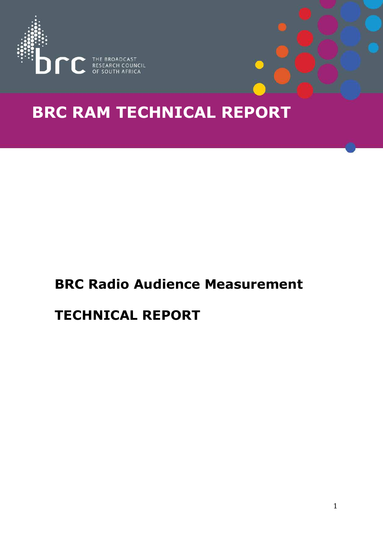

# **BRC RAM TECHNICAL REPORT**

# **BRC Radio Audience Measurement**

# **TECHNICAL REPORT**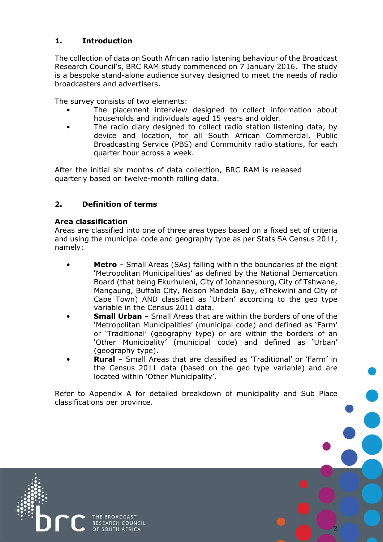# **1. Introduction**

The collection of data on South African radio listening behaviour of the Broadcast Research Council's, BRC RAM study commenced on 7 January 2016. The study is a bespoke stand-alone audience survey designed to meet the needs of radio broadcasters and advertisers.

The survey consists of two elements:

- The placement interview designed to collect information about households and individuals aged 15 years and older.
- The radio diary designed to collect radio station listening data, by device and location, for all South African Commercial, Public Broadcasting Service (PBS) and Community radio stations, for each quarter hour across a week.

After the initial six months of data collection, BRC RAM is released quarterly based on twelve-month rolling data.

# **2. Definition of terms**

### **Area classification**

Areas are classified into one of three area types based on a fixed set of criteria and using the municipal code and geography type as per Stats SA Census 2011, namely:

- **Metro** Small Areas (SAs) falling within the boundaries of the eight 'Metropolitan Municipalities' as defined by the National Demarcation Board (that being Ekurhuleni, City of Johannesburg, City of Tshwane, Mangaung, Buffalo City, Nelson Mandela Bay, eThekwini and City of Cape Town) AND classified as 'Urban' according to the geo type variable in the Census 2011 data.
- **Small Urban** Small Areas that are within the borders of one of the 'Metropolitan Municipalities' (municipal code) and defined as 'Farm' or 'Traditional' (geography type) or are within the borders of an 'Other Municipality' (municipal code) and defined as 'Urban' (geography type).
- **Rural** Small Areas that are classified as 'Traditional' or 'Farm' in the Census 2011 data (based on the geo type variable) and are located within 'Other Municipality'.

Refer to Appendix A for detailed breakdown of municipality and Sub Place classifications per province.

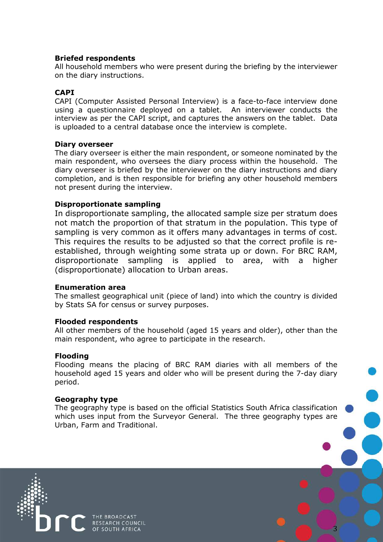#### **Briefed respondents**

All household members who were present during the briefing by the interviewer on the diary instructions.

#### **CAPI**

CAPI (Computer Assisted Personal Interview) is a face-to-face interview done using a questionnaire deployed on a tablet. An interviewer conducts the interview as per the CAPI script, and captures the answers on the tablet. Data is uploaded to a central database once the interview is complete.

#### **Diary overseer**

The diary overseer is either the main respondent, or someone nominated by the main respondent, who oversees the diary process within the household. The diary overseer is briefed by the interviewer on the diary instructions and diary completion, and is then responsible for briefing any other household members not present during the interview.

#### **Disproportionate sampling**

In disproportionate sampling, the allocated sample size per stratum does not match the proportion of that stratum in the population. This type of sampling is very common as it offers many advantages in terms of cost. This requires the results to be adjusted so that the correct profile is reestablished, through weighting some strata up or down. For BRC RAM, disproportionate sampling is applied to area, with a higher (disproportionate) allocation to Urban areas.

#### **Enumeration area**

The smallest geographical unit (piece of land) into which the country is divided by Stats SA for census or survey purposes.

#### **Flooded respondents**

All other members of the household (aged 15 years and older), other than the main respondent, who agree to participate in the research.

#### **Flooding**

Flooding means the placing of BRC RAM diaries with all members of the household aged 15 years and older who will be present during the 7-day diary period.

#### **Geography type**

The geography type is based on the official Statistics South Africa classification which uses input from the Surveyor General. The three geography types are Urban, Farm and Traditional.

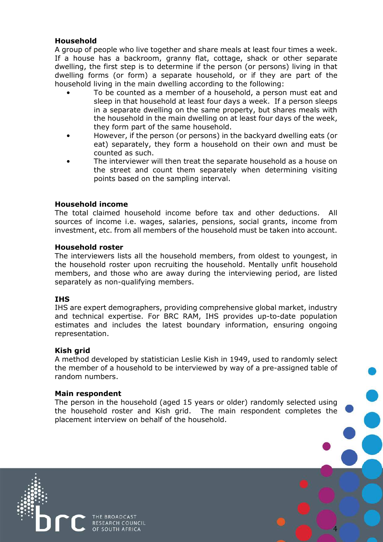### **Household**

A group of people who live together and share meals at least four times a week. If a house has a backroom, granny flat, cottage, shack or other separate dwelling, the first step is to determine if the person (or persons) living in that dwelling forms (or form) a separate household, or if they are part of the household living in the main dwelling according to the following:

- To be counted as a member of a household, a person must eat and sleep in that household at least four days a week. If a person sleeps in a separate dwelling on the same property, but shares meals with the household in the main dwelling on at least four days of the week, they form part of the same household.
- However, if the person (or persons) in the backyard dwelling eats (or eat) separately, they form a household on their own and must be counted as such.
- The interviewer will then treat the separate household as a house on the street and count them separately when determining visiting points based on the sampling interval.

#### **Household income**

The total claimed household income before tax and other deductions. All sources of income i.e. wages, salaries, pensions, social grants, income from investment, etc. from all members of the household must be taken into account.

#### **Household roster**

The interviewers lists all the household members, from oldest to youngest, in the household roster upon recruiting the household. Mentally unfit household members, and those who are away during the interviewing period, are listed separately as non-qualifying members.

#### **IHS**

IHS are expert demographers, providing comprehensive global market, industry and technical expertise. For BRC RAM, IHS provides up-to-date population estimates and includes the latest boundary information, ensuring ongoing representation.

#### **Kish grid**

A method developed by statistician Leslie Kish in 1949, used to randomly select the member of a household to be interviewed by way of a pre-assigned table of random numbers.

#### **Main respondent**

The person in the household (aged 15 years or older) randomly selected using the household roster and Kish grid. The main respondent completes the placement interview on behalf of the household.

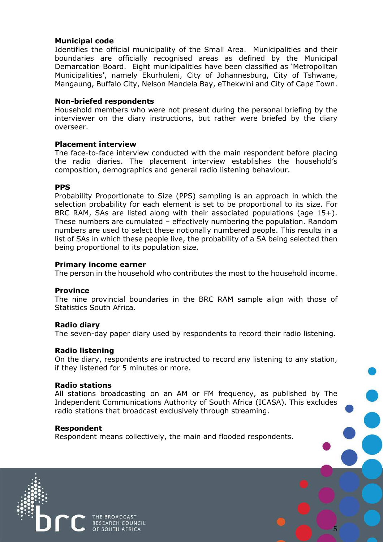#### **Municipal code**

Identifies the official municipality of the Small Area. Municipalities and their boundaries are officially recognised areas as defined by the Municipal Demarcation Board. Eight municipalities have been classified as 'Metropolitan Municipalities', namely Ekurhuleni, City of Johannesburg, City of Tshwane, Mangaung, Buffalo City, Nelson Mandela Bay, eThekwini and City of Cape Town.

#### **Non-briefed respondents**

Household members who were not present during the personal briefing by the interviewer on the diary instructions, but rather were briefed by the diary overseer.

#### **Placement interview**

The face-to-face interview conducted with the main respondent before placing the radio diaries. The placement interview establishes the household's composition, demographics and general radio listening behaviour.

#### **PPS**

Probability Proportionate to Size (PPS) sampling is an approach in which the selection probability for each element is set to be proportional to its size. For BRC RAM, SAs are listed along with their associated populations (age 15+). These numbers are cumulated – effectively numbering the population. Random numbers are used to select these notionally numbered people. This results in a list of SAs in which these people live, the probability of a SA being selected then being proportional to its population size.

#### **Primary income earner**

The person in the household who contributes the most to the household income.

#### **Province**

The nine provincial boundaries in the BRC RAM sample align with those of Statistics South Africa.

#### **Radio diary**

The seven-day paper diary used by respondents to record their radio listening.

#### **Radio listening**

On the diary, respondents are instructed to record any listening to any station, if they listened for 5 minutes or more.

#### **Radio stations**

All stations broadcasting on an AM or FM frequency, as published by The Independent Communications Authority of South Africa (ICASA). This excludes radio stations that broadcast exclusively through streaming.

5

#### **Respondent**

Respondent means collectively, the main and flooded respondents.

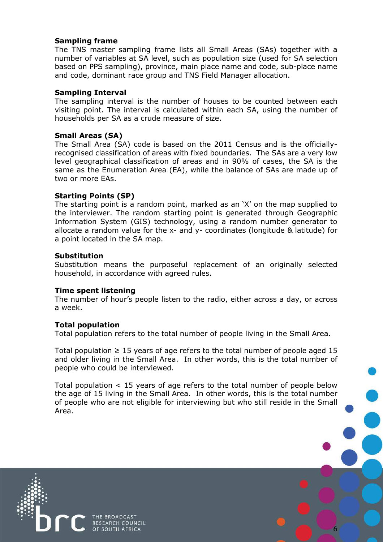#### **Sampling frame**

The TNS master sampling frame lists all Small Areas (SAs) together with a number of variables at SA level, such as population size (used for SA selection based on PPS sampling), province, main place name and code, sub-place name and code, dominant race group and TNS Field Manager allocation.

#### **Sampling Interval**

The sampling interval is the number of houses to be counted between each visiting point. The interval is calculated within each SA, using the number of households per SA as a crude measure of size.

#### **Small Areas (SA)**

The Small Area (SA) code is based on the 2011 Census and is the officiallyrecognised classification of areas with fixed boundaries. The SAs are a very low level geographical classification of areas and in 90% of cases, the SA is the same as the Enumeration Area (EA), while the balance of SAs are made up of two or more EAs.

#### **Starting Points (SP)**

The starting point is a random point, marked as an 'X' on the map supplied to the interviewer. The random starting point is generated through Geographic Information System (GIS) technology, using a random number generator to allocate a random value for the x- and y- coordinates (longitude & latitude) for a point located in the SA map.

#### **Substitution**

Substitution means the purposeful replacement of an originally selected household, in accordance with agreed rules.

#### **Time spent listening**

The number of hour's people listen to the radio, either across a day, or across a week.

#### **Total population**

Total population refers to the total number of people living in the Small Area.

Total population  $\geq 15$  years of age refers to the total number of people aged 15 and older living in the Small Area. In other words, this is the total number of people who could be interviewed.

Total population  $\leq$  15 years of age refers to the total number of people below the age of 15 living in the Small Area. In other words, this is the total number of people who are not eligible for interviewing but who still reside in the Small Area.

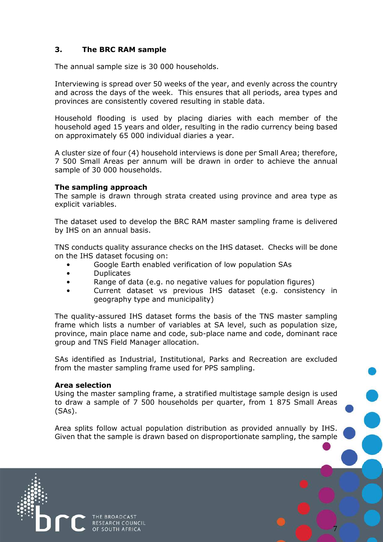# **3. The BRC RAM sample**

The annual sample size is 30 000 households.

Interviewing is spread over 50 weeks of the year, and evenly across the country and across the days of the week. This ensures that all periods, area types and provinces are consistently covered resulting in stable data.

Household flooding is used by placing diaries with each member of the household aged 15 years and older, resulting in the radio currency being based on approximately 65 000 individual diaries a year.

A cluster size of four (4) household interviews is done per Small Area; therefore, 7 500 Small Areas per annum will be drawn in order to achieve the annual sample of 30 000 households.

#### **The sampling approach**

The sample is drawn through strata created using province and area type as explicit variables.

The dataset used to develop the BRC RAM master sampling frame is delivered by IHS on an annual basis.

TNS conducts quality assurance checks on the IHS dataset. Checks will be done on the IHS dataset focusing on:

- Google Earth enabled verification of low population SAs
- **Duplicates**
- Range of data (e.g. no negative values for population figures)
- Current dataset vs previous IHS dataset (e.g. consistency in geography type and municipality)

The quality-assured IHS dataset forms the basis of the TNS master sampling frame which lists a number of variables at SA level, such as population size, province, main place name and code, sub-place name and code, dominant race group and TNS Field Manager allocation.

SAs identified as Industrial, Institutional, Parks and Recreation are excluded from the master sampling frame used for PPS sampling.

#### **Area selection**

Using the master sampling frame, a stratified multistage sample design is used to draw a sample of 7 500 households per quarter, from 1 875 Small Areas (SAs).

Area splits follow actual population distribution as provided annually by IHS. Given that the sample is drawn based on disproportionate sampling, the sample

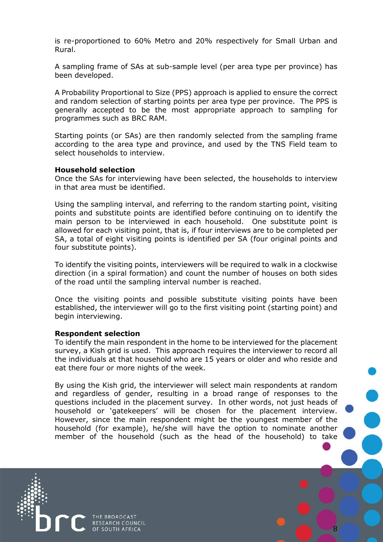is re-proportioned to 60% Metro and 20% respectively for Small Urban and Rural.

A sampling frame of SAs at sub-sample level (per area type per province) has been developed.

A Probability Proportional to Size (PPS) approach is applied to ensure the correct and random selection of starting points per area type per province. The PPS is generally accepted to be the most appropriate approach to sampling for programmes such as BRC RAM.

Starting points (or SAs) are then randomly selected from the sampling frame according to the area type and province, and used by the TNS Field team to select households to interview.

#### **Household selection**

Once the SAs for interviewing have been selected, the households to interview in that area must be identified.

Using the sampling interval, and referring to the random starting point, visiting points and substitute points are identified before continuing on to identify the main person to be interviewed in each household. One substitute point is allowed for each visiting point, that is, if four interviews are to be completed per SA, a total of eight visiting points is identified per SA (four original points and four substitute points).

To identify the visiting points, interviewers will be required to walk in a clockwise direction (in a spiral formation) and count the number of houses on both sides of the road until the sampling interval number is reached.

Once the visiting points and possible substitute visiting points have been established, the interviewer will go to the first visiting point (starting point) and begin interviewing.

#### **Respondent selection**

To identify the main respondent in the home to be interviewed for the placement survey, a Kish grid is used. This approach requires the interviewer to record all the individuals at that household who are 15 years or older and who reside and eat there four or more nights of the week.

By using the Kish grid, the interviewer will select main respondents at random and regardless of gender, resulting in a broad range of responses to the questions included in the placement survey. In other words, not just heads of household or 'gatekeepers' will be chosen for the placement interview. However, since the main respondent might be the youngest member of the household (for example), he/she will have the option to nominate another member of the household (such as the head of the household) to take

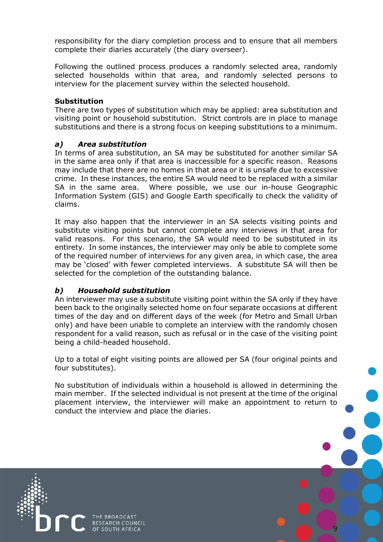responsibility for the diary completion process and to ensure that all members complete their diaries accurately (the diary overseer).

Following the outlined process produces a randomly selected area, randomly selected households within that area, and randomly selected persons to interview for the placement survey within the selected household.

#### **Substitution**

There are two types of substitution which may be applied: area substitution and visiting point or household substitution. Strict controls are in place to manage substitutions and there is a strong focus on keeping substitutions to a minimum.

#### *a) Area substitution*

In terms of area substitution, an SA may be substituted for another similar SA in the same area only if that area is inaccessible for a specific reason. Reasons may include that there are no homes in that area or it is unsafe due to excessive crime. In these instances, the entire SA would need to be replaced with a similar SA in the same area. Where possible, we use our in-house Geographic Information System (GIS) and Google Earth specifically to check the validity of claims.

It may also happen that the interviewer in an SA selects visiting points and substitute visiting points but cannot complete any interviews in that area for valid reasons. For this scenario, the SA would need to be substituted in its entirety. In some instances, the interviewer may only be able to complete some of the required number of interviews for any given area, in which case, the area may be 'closed' with fewer completed interviews. A substitute SA will then be selected for the completion of the outstanding balance.

#### *b) Household substitution*

An interviewer may use a substitute visiting point within the SA only if they have been back to the originally selected home on four separate occasions at different times of the day and on different days of the week (for Metro and Small Urban only) and have been unable to complete an interview with the randomly chosen respondent for a valid reason, such as refusal or in the case of the visiting point being a child-headed household.

Up to a total of eight visiting points are allowed per SA (four original points and four substitutes).

No substitution of individuals within a household is allowed in determining the main member. If the selected individual is not present at the time of the original placement interview, the interviewer will make an appointment to return to conduct the interview and place the diaries.

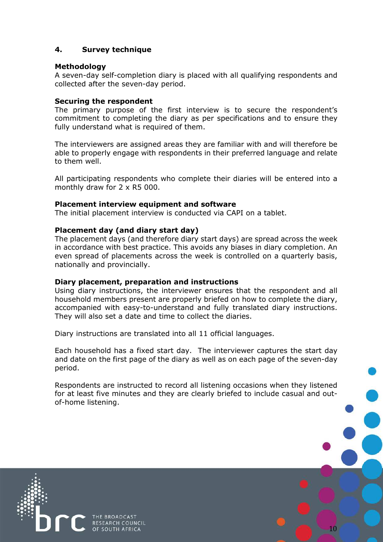# **4. Survey technique**

#### **Methodology**

A seven-day self-completion diary is placed with all qualifying respondents and collected after the seven-day period.

#### **Securing the respondent**

The primary purpose of the first interview is to secure the respondent's commitment to completing the diary as per specifications and to ensure they fully understand what is required of them.

The interviewers are assigned areas they are familiar with and will therefore be able to properly engage with respondents in their preferred language and relate to them well.

All participating respondents who complete their diaries will be entered into a monthly draw for 2 x R5 000.

#### **Placement interview equipment and software**

The initial placement interview is conducted via CAPI on a tablet.

#### **Placement day (and diary start day)**

The placement days (and therefore diary start days) are spread across the week in accordance with best practice. This avoids any biases in diary completion. An even spread of placements across the week is controlled on a quarterly basis, nationally and provincially.

#### **Diary placement, preparation and instructions**

Using diary instructions, the interviewer ensures that the respondent and all household members present are properly briefed on how to complete the diary, accompanied with easy-to-understand and fully translated diary instructions. They will also set a date and time to collect the diaries.

Diary instructions are translated into all 11 official languages.

Each household has a fixed start day. The interviewer captures the start day and date on the first page of the diary as well as on each page of the seven-day period.

Respondents are instructed to record all listening occasions when they listened for at least five minutes and they are clearly briefed to include casual and outof-home listening.

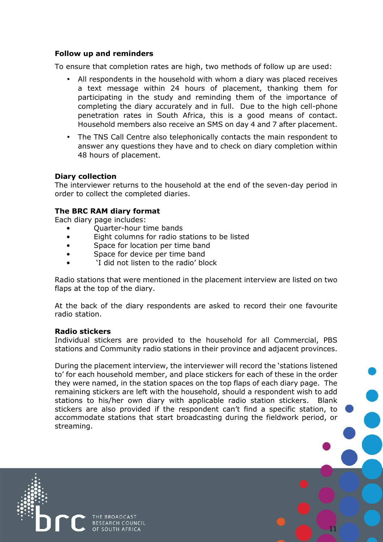#### **Follow up and reminders**

To ensure that completion rates are high, two methods of follow up are used:

- All respondents in the household with whom a diary was placed receives a text message within 24 hours of placement, thanking them for participating in the study and reminding them of the importance of completing the diary accurately and in full. Due to the high cell-phone penetration rates in South Africa, this is a good means of contact. Household members also receive an SMS on day 4 and 7 after placement.
- The TNS Call Centre also telephonically contacts the main respondent to answer any questions they have and to check on diary completion within 48 hours of placement.

#### **Diary collection**

The interviewer returns to the household at the end of the seven-day period in order to collect the completed diaries.

#### **The BRC RAM diary format**

Each diary page includes:

- Quarter-hour time bands
- Eight columns for radio stations to be listed
- Space for location per time band
- Space for device per time band
- 'I did not listen to the radio' block

Radio stations that were mentioned in the placement interview are listed on two flaps at the top of the diary.

At the back of the diary respondents are asked to record their one favourite radio station.

#### **Radio stickers**

Individual stickers are provided to the household for all Commercial, PBS stations and Community radio stations in their province and adjacent provinces.

During the placement interview, the interviewer will record the 'stations listened to' for each household member, and place stickers for each of these in the order they were named, in the station spaces on the top flaps of each diary page. The remaining stickers are left with the household, should a respondent wish to add stations to his/her own diary with applicable radio station stickers. Blank stickers are also provided if the respondent can't find a specific station, to accommodate stations that start broadcasting during the fieldwork period, or streaming.

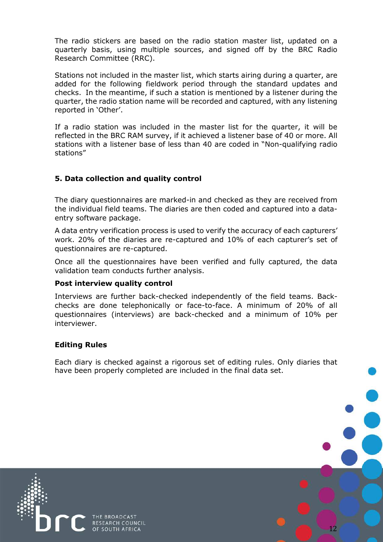The radio stickers are based on the radio station master list, updated on a quarterly basis, using multiple sources, and signed off by the BRC Radio Research Committee (RRC).

Stations not included in the master list, which starts airing during a quarter, are added for the following fieldwork period through the standard updates and checks. In the meantime, if such a station is mentioned by a listener during the quarter, the radio station name will be recorded and captured, with any listening reported in 'Other'.

If a radio station was included in the master list for the quarter, it will be reflected in the BRC RAM survey, if it achieved a listener base of 40 or more. All stations with a listener base of less than 40 are coded in "Non-qualifying radio stations"

# **5. Data collection and quality control**

The diary questionnaires are marked-in and checked as they are received from the individual field teams. The diaries are then coded and captured into a dataentry software package.

A data entry verification process is used to verify the accuracy of each capturers' work. 20% of the diaries are re-captured and 10% of each capturer's set of questionnaires are re-captured.

Once all the questionnaires have been verified and fully captured, the data validation team conducts further analysis.

#### **Post interview quality control**

Interviews are further back-checked independently of the field teams. Backchecks are done telephonically or face-to-face. A minimum of 20% of all questionnaires (interviews) are back-checked and a minimum of 10% per interviewer.

#### **Editing Rules**

Each diary is checked against a rigorous set of editing rules. Only diaries that have been properly completed are included in the final data set.

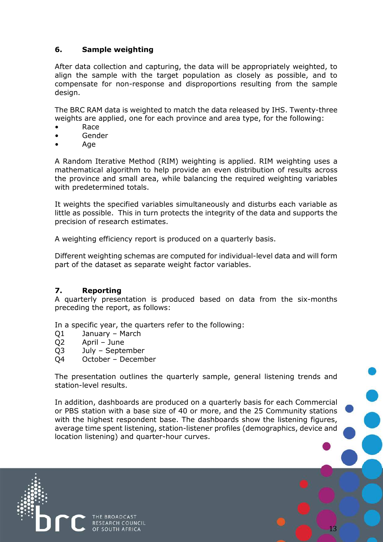# **6. Sample weighting**

After data collection and capturing, the data will be appropriately weighted, to align the sample with the target population as closely as possible, and to compensate for non-response and disproportions resulting from the sample design.

The BRC RAM data is weighted to match the data released by IHS. Twenty-three weights are applied, one for each province and area type, for the following:

- Race
- Gender
- Age

A Random Iterative Method (RIM) weighting is applied. RIM weighting uses a mathematical algorithm to help provide an even distribution of results across the province and small area, while balancing the required weighting variables with predetermined totals.

It weights the specified variables simultaneously and disturbs each variable as little as possible. This in turn protects the integrity of the data and supports the precision of research estimates.

A weighting efficiency report is produced on a quarterly basis.

Different weighting schemas are computed for individual-level data and will form part of the dataset as separate weight factor variables.

#### **7. Reporting**

A quarterly presentation is produced based on data from the six-months preceding the report, as follows:

In a specific year, the quarters refer to the following:

- Q1 January March
- Q2 April June
- Q3 July September
- Q4 October December

The presentation outlines the quarterly sample, general listening trends and station-level results.

In addition, dashboards are produced on a quarterly basis for each Commercial or PBS station with a base size of 40 or more, and the 25 Community stations with the highest respondent base. The dashboards show the listening figures, average time spent listening, station-listener profiles (demographics, device and location listening) and quarter-hour curves.